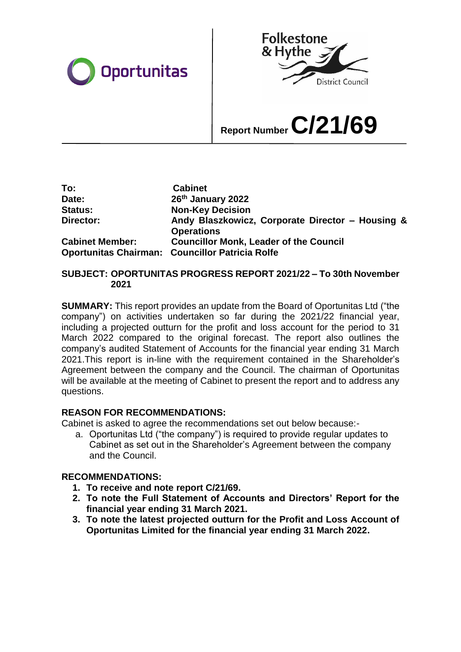



# **Report Number C/21/69**

| To:                    | <b>Cabinet</b>                                                        |
|------------------------|-----------------------------------------------------------------------|
| Date:                  | 26th January 2022                                                     |
| <b>Status:</b>         | <b>Non-Key Decision</b>                                               |
| Director:              | Andy Blaszkowicz, Corporate Director - Housing &<br><b>Operations</b> |
| <b>Cabinet Member:</b> | <b>Councillor Monk, Leader of the Council</b>                         |
|                        | Oportunitas Chairman: Councillor Patricia Rolfe                       |

#### **SUBJECT: OPORTUNITAS PROGRESS REPORT 2021/22 – To 30th November 2021**

**SUMMARY:** This report provides an update from the Board of Oportunitas Ltd ("the company") on activities undertaken so far during the 2021/22 financial year, including a projected outturn for the profit and loss account for the period to 31 March 2022 compared to the original forecast. The report also outlines the company's audited Statement of Accounts for the financial year ending 31 March 2021.This report is in-line with the requirement contained in the Shareholder's Agreement between the company and the Council. The chairman of Oportunitas will be available at the meeting of Cabinet to present the report and to address any questions.

# **REASON FOR RECOMMENDATIONS:**

Cabinet is asked to agree the recommendations set out below because:-

a. Oportunitas Ltd ("the company") is required to provide regular updates to Cabinet as set out in the Shareholder's Agreement between the company and the Council.

# **RECOMMENDATIONS:**

- **1. To receive and note report C/21/69.**
- **2. To note the Full Statement of Accounts and Directors' Report for the financial year ending 31 March 2021.**
- **3. To note the latest projected outturn for the Profit and Loss Account of Oportunitas Limited for the financial year ending 31 March 2022.**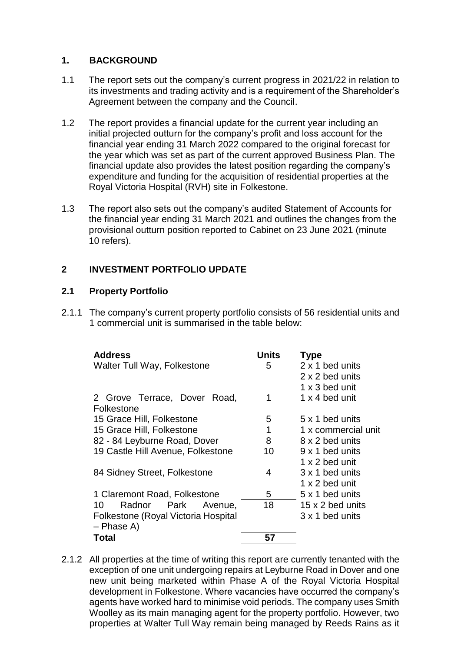#### **1. BACKGROUND**

- 1.1 The report sets out the company's current progress in 2021/22 in relation to its investments and trading activity and is a requirement of the Shareholder's Agreement between the company and the Council.
- 1.2 The report provides a financial update for the current year including an initial projected outturn for the company's profit and loss account for the financial year ending 31 March 2022 compared to the original forecast for the year which was set as part of the current approved Business Plan. The financial update also provides the latest position regarding the company's expenditure and funding for the acquisition of residential properties at the Royal Victoria Hospital (RVH) site in Folkestone.
- 1.3 The report also sets out the company's audited Statement of Accounts for the financial year ending 31 March 2021 and outlines the changes from the provisional outturn position reported to Cabinet on 23 June 2021 (minute 10 refers).

# **2 INVESTMENT PORTFOLIO UPDATE**

#### **2.1 Property Portfolio**

2.1.1 The company's current property portfolio consists of 56 residential units and 1 commercial unit is summarised in the table below:

| <b>Address</b>                      | Units | <b>Type</b>         |
|-------------------------------------|-------|---------------------|
| Walter Tull Way, Folkestone         | 5     | 2 x 1 bed units     |
|                                     |       | 2 x 2 bed units     |
|                                     |       | 1 x 3 bed unit      |
| 2 Grove Terrace, Dover Road,        | 1     | 1 x 4 bed unit      |
| Folkestone                          |       |                     |
| 15 Grace Hill, Folkestone           | 5     | 5 x 1 bed units     |
| 15 Grace Hill, Folkestone           | 1     | 1 x commercial unit |
| 82 - 84 Leyburne Road, Dover        | 8     | 8 x 2 bed units     |
| 19 Castle Hill Avenue, Folkestone   | 10    | 9 x 1 bed units     |
|                                     |       | 1 x 2 bed unit      |
| 84 Sidney Street, Folkestone        | 4     | 3 x 1 bed units     |
|                                     |       | 1 x 2 bed unit      |
| 1 Claremont Road, Folkestone        | 5.    | 5 x 1 bed units     |
| 10<br>Radnor Park Avenue,           | 18    | 15 x 2 bed units    |
| Folkestone (Royal Victoria Hospital |       | 3 x 1 bed units     |
| $-$ Phase A)                        |       |                     |
| <b>Total</b>                        | 57    |                     |
|                                     |       |                     |

2.1.2 All properties at the time of writing this report are currently tenanted with the exception of one unit undergoing repairs at Leyburne Road in Dover and one new unit being marketed within Phase A of the Royal Victoria Hospital development in Folkestone. Where vacancies have occurred the company's agents have worked hard to minimise void periods. The company uses Smith Woolley as its main managing agent for the property portfolio. However, two properties at Walter Tull Way remain being managed by Reeds Rains as it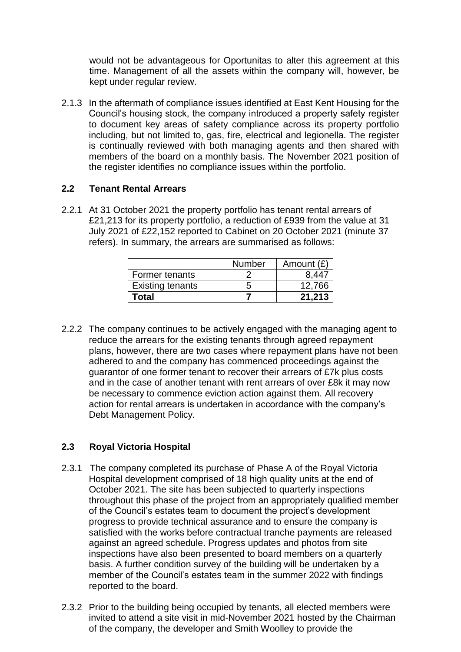would not be advantageous for Oportunitas to alter this agreement at this time. Management of all the assets within the company will, however, be kept under regular review.

2.1.3 In the aftermath of compliance issues identified at East Kent Housing for the Council's housing stock, the company introduced a property safety register to document key areas of safety compliance across its property portfolio including, but not limited to, gas, fire, electrical and legionella. The register is continually reviewed with both managing agents and then shared with members of the board on a monthly basis. The November 2021 position of the register identifies no compliance issues within the portfolio.

#### **2.2 Tenant Rental Arrears**

2.2.1 At 31 October 2021 the property portfolio has tenant rental arrears of £21,213 for its property portfolio, a reduction of £939 from the value at 31 July 2021 of £22,152 reported to Cabinet on 20 October 2021 (minute 37 refers). In summary, the arrears are summarised as follows:

|                         | <b>Number</b> | Amount $(E)$ |
|-------------------------|---------------|--------------|
| Former tenants          |               | 8 447        |
| <b>Existing tenants</b> |               | 12,766       |
| <b>Total</b>            |               | 21.213       |

2.2.2 The company continues to be actively engaged with the managing agent to reduce the arrears for the existing tenants through agreed repayment plans, however, there are two cases where repayment plans have not been adhered to and the company has commenced proceedings against the guarantor of one former tenant to recover their arrears of £7k plus costs and in the case of another tenant with rent arrears of over £8k it may now be necessary to commence eviction action against them. All recovery action for rental arrears is undertaken in accordance with the company's Debt Management Policy.

# **2.3 Royal Victoria Hospital**

- 2.3.1 The company completed its purchase of Phase A of the Royal Victoria Hospital development comprised of 18 high quality units at the end of October 2021. The site has been subjected to quarterly inspections throughout this phase of the project from an appropriately qualified member of the Council's estates team to document the project's development progress to provide technical assurance and to ensure the company is satisfied with the works before contractual tranche payments are released against an agreed schedule. Progress updates and photos from site inspections have also been presented to board members on a quarterly basis. A further condition survey of the building will be undertaken by a member of the Council's estates team in the summer 2022 with findings reported to the board.
- 2.3.2 Prior to the building being occupied by tenants, all elected members were invited to attend a site visit in mid-November 2021 hosted by the Chairman of the company, the developer and Smith Woolley to provide the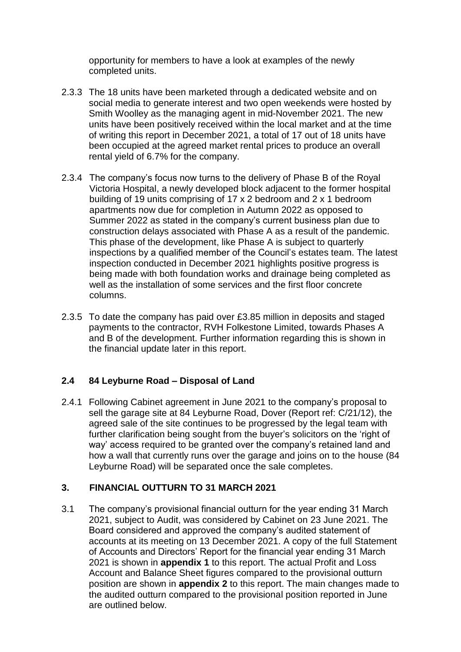opportunity for members to have a look at examples of the newly completed units.

- 2.3.3 The 18 units have been marketed through a dedicated website and on social media to generate interest and two open weekends were hosted by Smith Woolley as the managing agent in mid-November 2021. The new units have been positively received within the local market and at the time of writing this report in December 2021, a total of 17 out of 18 units have been occupied at the agreed market rental prices to produce an overall rental yield of 6.7% for the company.
- 2.3.4 The company's focus now turns to the delivery of Phase B of the Royal Victoria Hospital, a newly developed block adjacent to the former hospital building of 19 units comprising of 17 x 2 bedroom and 2 x 1 bedroom apartments now due for completion in Autumn 2022 as opposed to Summer 2022 as stated in the company's current business plan due to construction delays associated with Phase A as a result of the pandemic. This phase of the development, like Phase A is subject to quarterly inspections by a qualified member of the Council's estates team. The latest inspection conducted in December 2021 highlights positive progress is being made with both foundation works and drainage being completed as well as the installation of some services and the first floor concrete columns.
- 2.3.5 To date the company has paid over £3.85 million in deposits and staged payments to the contractor, RVH Folkestone Limited, towards Phases A and B of the development. Further information regarding this is shown in the financial update later in this report.

# **2.4 84 Leyburne Road – Disposal of Land**

2.4.1 Following Cabinet agreement in June 2021 to the company's proposal to sell the garage site at 84 Leyburne Road, Dover (Report ref: C/21/12), the agreed sale of the site continues to be progressed by the legal team with further clarification being sought from the buyer's solicitors on the 'right of way' access required to be granted over the company's retained land and how a wall that currently runs over the garage and joins on to the house (84 Leyburne Road) will be separated once the sale completes.

#### **3. FINANCIAL OUTTURN TO 31 MARCH 2021**

3.1 The company's provisional financial outturn for the year ending 31 March 2021, subject to Audit, was considered by Cabinet on 23 June 2021. The Board considered and approved the company's audited statement of accounts at its meeting on 13 December 2021. A copy of the full Statement of Accounts and Directors' Report for the financial year ending 31 March 2021 is shown in **appendix 1** to this report. The actual Profit and Loss Account and Balance Sheet figures compared to the provisional outturn position are shown in **appendix 2** to this report. The main changes made to the audited outturn compared to the provisional position reported in June are outlined below.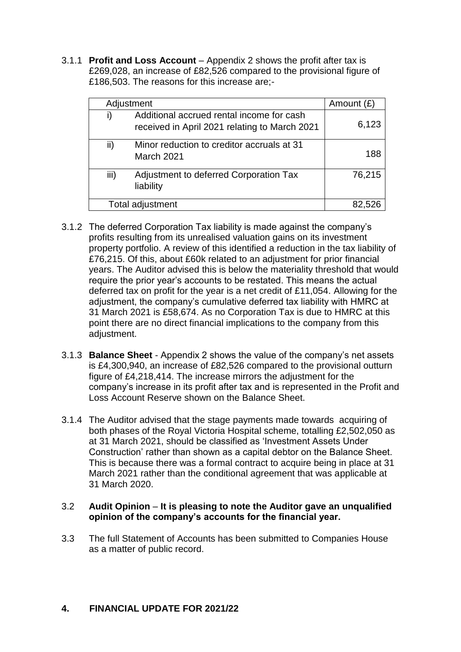3.1.1 **Profit and Loss Account** – Appendix 2 shows the profit after tax is £269,028, an increase of £82,526 compared to the provisional figure of £186,503. The reasons for this increase are;-

| Adjustment               |                                                                                            | Amount $(E)$ |
|--------------------------|--------------------------------------------------------------------------------------------|--------------|
| i)                       | Additional accrued rental income for cash<br>received in April 2021 relating to March 2021 | 6,123        |
| ii)<br><b>March 2021</b> | Minor reduction to creditor accruals at 31                                                 | 188          |
| iii)<br>liability        | Adjustment to deferred Corporation Tax                                                     | 76,215       |
| Total adjustment         |                                                                                            |              |

- 3.1.2 The deferred Corporation Tax liability is made against the company's profits resulting from its unrealised valuation gains on its investment property portfolio. A review of this identified a reduction in the tax liability of £76,215. Of this, about £60k related to an adjustment for prior financial years. The Auditor advised this is below the materiality threshold that would require the prior year's accounts to be restated. This means the actual deferred tax on profit for the year is a net credit of £11,054. Allowing for the adjustment, the company's cumulative deferred tax liability with HMRC at 31 March 2021 is £58,674. As no Corporation Tax is due to HMRC at this point there are no direct financial implications to the company from this adjustment.
- 3.1.3 **Balance Sheet** Appendix 2 shows the value of the company's net assets is £4,300,940, an increase of £82,526 compared to the provisional outturn figure of £4,218,414. The increase mirrors the adjustment for the company's increase in its profit after tax and is represented in the Profit and Loss Account Reserve shown on the Balance Sheet.
- 3.1.4 The Auditor advised that the stage payments made towards acquiring of both phases of the Royal Victoria Hospital scheme, totalling £2,502,050 as at 31 March 2021, should be classified as 'Investment Assets Under Construction' rather than shown as a capital debtor on the Balance Sheet. This is because there was a formal contract to acquire being in place at 31 March 2021 rather than the conditional agreement that was applicable at 31 March 2020.

#### 3.2 **Audit Opinion** – **It is pleasing to note the Auditor gave an unqualified opinion of the company's accounts for the financial year.**

3.3 The full Statement of Accounts has been submitted to Companies House as a matter of public record.

# **4. FINANCIAL UPDATE FOR 2021/22**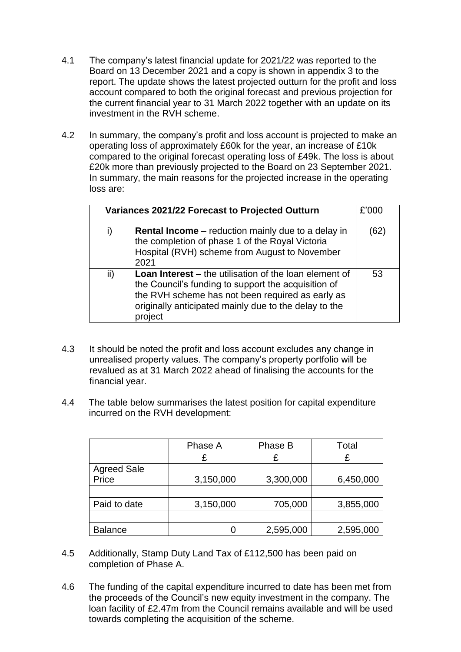- 4.1 The company's latest financial update for 2021/22 was reported to the Board on 13 December 2021 and a copy is shown in appendix 3 to the report. The update shows the latest projected outturn for the profit and loss account compared to both the original forecast and previous projection for the current financial year to 31 March 2022 together with an update on its investment in the RVH scheme.
- 4.2 In summary, the company's profit and loss account is projected to make an operating loss of approximately £60k for the year, an increase of £10k compared to the original forecast operating loss of £49k. The loss is about £20k more than previously projected to the Board on 23 September 2021. In summary, the main reasons for the projected increase in the operating loss are:

| Variances 2021/22 Forecast to Projected Outturn |                                                                                                                                                                                                                                              |      |
|-------------------------------------------------|----------------------------------------------------------------------------------------------------------------------------------------------------------------------------------------------------------------------------------------------|------|
| i)                                              | <b>Rental Income</b> – reduction mainly due to a delay in<br>the completion of phase 1 of the Royal Victoria<br>Hospital (RVH) scheme from August to November<br>2021                                                                        | (62) |
| ii)                                             | <b>Loan Interest –</b> the utilisation of the loan element of<br>the Council's funding to support the acquisition of<br>the RVH scheme has not been required as early as<br>originally anticipated mainly due to the delay to the<br>project | 53   |

- 4.3 It should be noted the profit and loss account excludes any change in unrealised property values. The company's property portfolio will be revalued as at 31 March 2022 ahead of finalising the accounts for the financial year.
- 4.4 The table below summarises the latest position for capital expenditure incurred on the RVH development:

|                    | Phase A   | Phase B   | Total     |
|--------------------|-----------|-----------|-----------|
|                    |           |           |           |
| <b>Agreed Sale</b> |           |           |           |
| Price              | 3,150,000 | 3,300,000 | 6,450,000 |
|                    |           |           |           |
| Paid to date       | 3,150,000 | 705,000   | 3,855,000 |
|                    |           |           |           |
| <b>Balance</b>     | Ω         | 2,595,000 | 2,595,000 |

- 4.5 Additionally, Stamp Duty Land Tax of £112,500 has been paid on completion of Phase A.
- 4.6 The funding of the capital expenditure incurred to date has been met from the proceeds of the Council's new equity investment in the company. The loan facility of £2.47m from the Council remains available and will be used towards completing the acquisition of the scheme.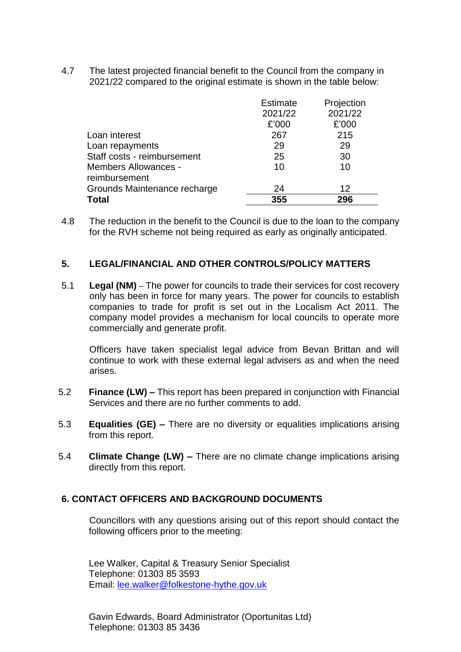4.7 The latest projected financial benefit to the Council from the company in 2021/22 compared to the original estimate is shown in the table below:

| <b>Total</b>                 | 355             | 296        |
|------------------------------|-----------------|------------|
| Grounds Maintenance recharge | 24              | 12         |
| reimbursement                |                 |            |
| <b>Members Allowances -</b>  | 10              | 10         |
| Staff costs - reimbursement  | 25              | 30         |
| Loan repayments              | 29              | 29         |
| Loan interest                | 267             | 215        |
|                              | £'000           | £'000      |
|                              | 2021/22         | 2021/22    |
|                              | <b>Estimate</b> | Projection |

4.8 The reduction in the benefit to the Council is due to the loan to the company for the RVH scheme not being required as early as originally anticipated.

#### **5. LEGAL/FINANCIAL AND OTHER CONTROLS/POLICY MATTERS**

5.1 **Legal (NM) –** The power for councils to trade their services for cost recovery only has been in force for many years. The power for councils to establish companies to trade for profit is set out in the Localism Act 2011. The company model provides a mechanism for local councils to operate more commercially and generate profit.

Officers have taken specialist legal advice from Bevan Brittan and will continue to work with these external legal advisers as and when the need arises.

- 5.2 **Finance (LW) –** This report has been prepared in conjunction with Financial Services and there are no further comments to add.
- 5.3 **Equalities (GE) –** There are no diversity or equalities implications arising from this report.
- 5.4 **Climate Change (LW) –** There are no climate change implications arising directly from this report.

# **6. CONTACT OFFICERS AND BACKGROUND DOCUMENTS**

Councillors with any questions arising out of this report should contact the following officers prior to the meeting:

Lee Walker, Capital & Treasury Senior Specialist Telephone: 01303 85 3593 Email: [lee.walker@folkestone-hythe.gov.uk](mailto:lee.walker@folkestone-hythe.gov.uk)

Gavin Edwards, Board Administrator (Oportunitas Ltd) Telephone: 01303 85 3436